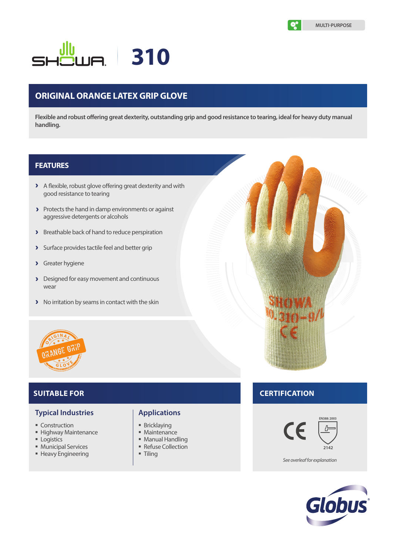**MULTI-PURPOSE**

# **310**

# **ORIGINAL ORANGE LATEX GRIP GLOVE**

**Flexible and robust offering great dexterity, outstanding grip and good resistance to tearing, ideal for heavy duty manual handling.**

# **FEATURES**

- A flexible, robust glove offering great dexterity and with good resistance to tearing
- Protects the hand in damp environments or against aggressive detergents or alcohols
- **>** Breathable back of hand to reduce perspiration
- Surface provides tactile feel and better grip
- Greater hygiene  $\overline{\phantom{0}}$
- Designed for easy movement and continuous wear
- > No irritation by seams in contact with the skin



# **SUITABLE FOR**

# **Typical Industries**

- **Construction**
- **Highway Maintenance**
- **Logistics**
- **Municipal Services**
- **Heavy Engineering**

# **Applications**

- **Bricklaying**
- **Maintenance**
- Manual Handling
- Refuse Collection
- Tiling

# **CERTIFICATION**



*See overleaf for explanation*